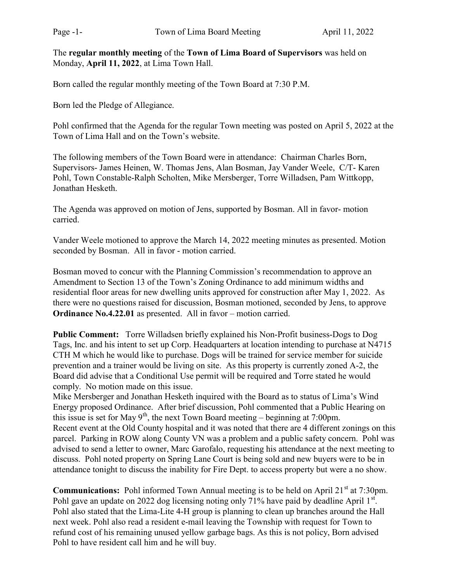The regular monthly meeting of the Town of Lima Board of Supervisors was held on Monday, April 11, 2022, at Lima Town Hall.

Born called the regular monthly meeting of the Town Board at 7:30 P.M.

Born led the Pledge of Allegiance.

Pohl confirmed that the Agenda for the regular Town meeting was posted on April 5, 2022 at the Town of Lima Hall and on the Town's website.

The following members of the Town Board were in attendance: Chairman Charles Born, Supervisors- James Heinen, W. Thomas Jens, Alan Bosman, Jay Vander Weele, C/T- Karen Pohl, Town Constable-Ralph Scholten, Mike Mersberger, Torre Willadsen, Pam Wittkopp, Jonathan Hesketh.

The Agenda was approved on motion of Jens, supported by Bosman. All in favor- motion carried.

Vander Weele motioned to approve the March 14, 2022 meeting minutes as presented. Motion seconded by Bosman. All in favor - motion carried.

Bosman moved to concur with the Planning Commission's recommendation to approve an Amendment to Section 13 of the Town's Zoning Ordinance to add minimum widths and residential floor areas for new dwelling units approved for construction after May 1, 2022. As there were no questions raised for discussion, Bosman motioned, seconded by Jens, to approve Ordinance No.4.22.01 as presented. All in favor – motion carried.

Public Comment: Torre Willadsen briefly explained his Non-Profit business-Dogs to Dog Tags, Inc. and his intent to set up Corp. Headquarters at location intending to purchase at N4715 CTH M which he would like to purchase. Dogs will be trained for service member for suicide prevention and a trainer would be living on site. As this property is currently zoned A-2, the Board did advise that a Conditional Use permit will be required and Torre stated he would comply. No motion made on this issue.

Mike Mersberger and Jonathan Hesketh inquired with the Board as to status of Lima's Wind Energy proposed Ordinance. After brief discussion, Pohl commented that a Public Hearing on this issue is set for May  $9<sup>th</sup>$ , the next Town Board meeting – beginning at 7:00pm. Recent event at the Old County hospital and it was noted that there are 4 different zonings on this parcel. Parking in ROW along County VN was a problem and a public safety concern. Pohl was advised to send a letter to owner, Marc Garofalo, requesting his attendance at the next meeting to discuss. Pohl noted property on Spring Lane Court is being sold and new buyers were to be in attendance tonight to discuss the inability for Fire Dept. to access property but were a no show.

**Communications:** Pohl informed Town Annual meeting is to be held on April 21<sup>st</sup> at 7:30pm. Pohl gave an update on 2022 dog licensing noting only 71% have paid by deadline April  $1^{st}$ . Pohl also stated that the Lima-Lite 4-H group is planning to clean up branches around the Hall next week. Pohl also read a resident e-mail leaving the Township with request for Town to refund cost of his remaining unused yellow garbage bags. As this is not policy, Born advised Pohl to have resident call him and he will buy.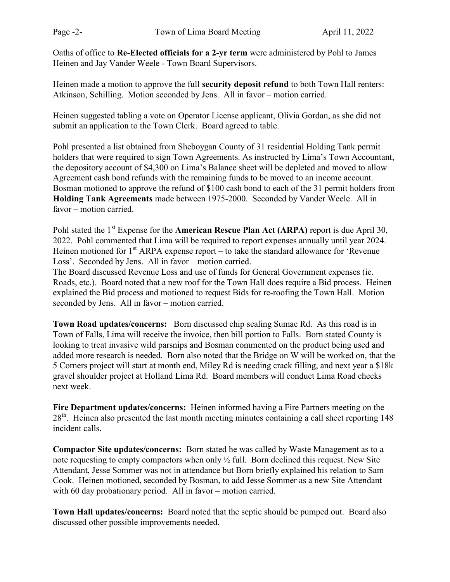Oaths of office to Re-Elected officials for a 2-yr term were administered by Pohl to James Heinen and Jay Vander Weele - Town Board Supervisors.

Heinen made a motion to approve the full security deposit refund to both Town Hall renters: Atkinson, Schilling. Motion seconded by Jens. All in favor – motion carried.

Heinen suggested tabling a vote on Operator License applicant, Olivia Gordan, as she did not submit an application to the Town Clerk. Board agreed to table.

Pohl presented a list obtained from Sheboygan County of 31 residential Holding Tank permit holders that were required to sign Town Agreements. As instructed by Lima's Town Accountant, the depository account of \$4,300 on Lima's Balance sheet will be depleted and moved to allow Agreement cash bond refunds with the remaining funds to be moved to an income account. Bosman motioned to approve the refund of \$100 cash bond to each of the 31 permit holders from Holding Tank Agreements made between 1975-2000. Seconded by Vander Weele. All in favor – motion carried.

Pohl stated the  $1<sup>st</sup>$  Expense for the **American Rescue Plan Act (ARPA)** report is due April 30, 2022. Pohl commented that Lima will be required to report expenses annually until year 2024. Heinen motioned for  $1<sup>st</sup> ARPA$  expense report – to take the standard allowance for 'Revenue Loss'. Seconded by Jens. All in favor – motion carried.

The Board discussed Revenue Loss and use of funds for General Government expenses (ie. Roads, etc.). Board noted that a new roof for the Town Hall does require a Bid process. Heinen explained the Bid process and motioned to request Bids for re-roofing the Town Hall. Motion seconded by Jens. All in favor – motion carried.

Town Road updates/concerns: Born discussed chip sealing Sumac Rd. As this road is in Town of Falls, Lima will receive the invoice, then bill portion to Falls. Born stated County is looking to treat invasive wild parsnips and Bosman commented on the product being used and added more research is needed. Born also noted that the Bridge on W will be worked on, that the 5 Corners project will start at month end, Miley Rd is needing crack filling, and next year a \$18k gravel shoulder project at Holland Lima Rd. Board members will conduct Lima Road checks next week.

Fire Department updates/concerns: Heinen informed having a Fire Partners meeting on the 28<sup>th</sup>. Heinen also presented the last month meeting minutes containing a call sheet reporting 148 incident calls.

Compactor Site updates/concerns: Born stated he was called by Waste Management as to a note requesting to empty compactors when only ½ full. Born declined this request. New Site Attendant, Jesse Sommer was not in attendance but Born briefly explained his relation to Sam Cook. Heinen motioned, seconded by Bosman, to add Jesse Sommer as a new Site Attendant with 60 day probationary period. All in favor – motion carried.

Town Hall updates/concerns: Board noted that the septic should be pumped out. Board also discussed other possible improvements needed.